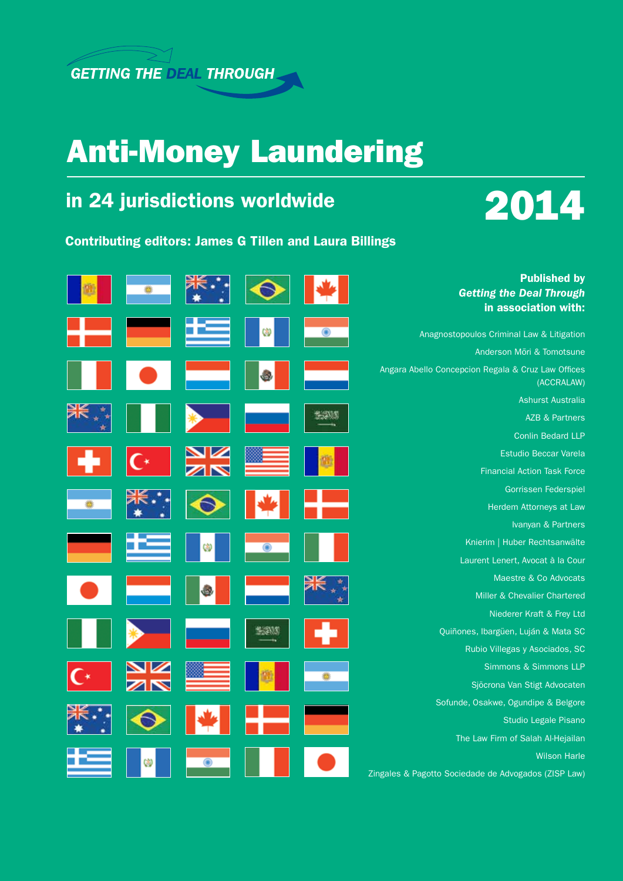

## Anti-Money Laundering

## in 24 jurisdictions worldwide





|   |   |  | <b>Published by</b><br><b>Getting the Deal Through</b><br>in association with: |
|---|---|--|--------------------------------------------------------------------------------|
|   |   |  | Anagnostopoulos Criminal Law & Litigation                                      |
|   |   |  | Anderson Mōri & Tomotsune                                                      |
|   |   |  | Angara Abello Concepcion Regala & Cruz Law Offices<br>(ACCRALAW)               |
|   |   |  | Ashurst Australia                                                              |
|   |   |  | <b>AZB &amp; Partners</b>                                                      |
|   |   |  | <b>Conlin Bedard LLP</b>                                                       |
|   |   |  | <b>Estudio Beccar Varela</b>                                                   |
|   |   |  | <b>Financial Action Task Force</b>                                             |
|   |   |  | Gorrissen Federspiel                                                           |
|   |   |  | Herdem Attorneys at Law                                                        |
|   |   |  | Ivanyan & Partners                                                             |
|   | ⋓ |  | Knierim   Huber Rechtsanwälte                                                  |
|   |   |  | Laurent Lenert, Avocat à la Cour                                               |
|   |   |  | Maestre & Co Advocats                                                          |
|   |   |  | Miller & Chevalier Chartered                                                   |
|   |   |  | Niederer Kraft & Frey Ltd                                                      |
|   |   |  | Quiñones, Ibargüen, Luján & Mata SC                                            |
|   |   |  | Rubio Villegas y Asociados, SC                                                 |
|   |   |  | Simmons & Simmons LLP                                                          |
|   |   |  | Sjöcrona Van Stigt Advocaten                                                   |
|   |   |  | Sofunde, Osakwe, Ogundipe & Belgore                                            |
|   |   |  | Studio Legale Pisano                                                           |
|   |   |  | The Law Firm of Salah Al-Hejailan                                              |
| w |   |  | <b>Wilson Harle</b>                                                            |
|   |   |  | Zingales & Pagotto Sociedade de Advogados (ZISP Law)                           |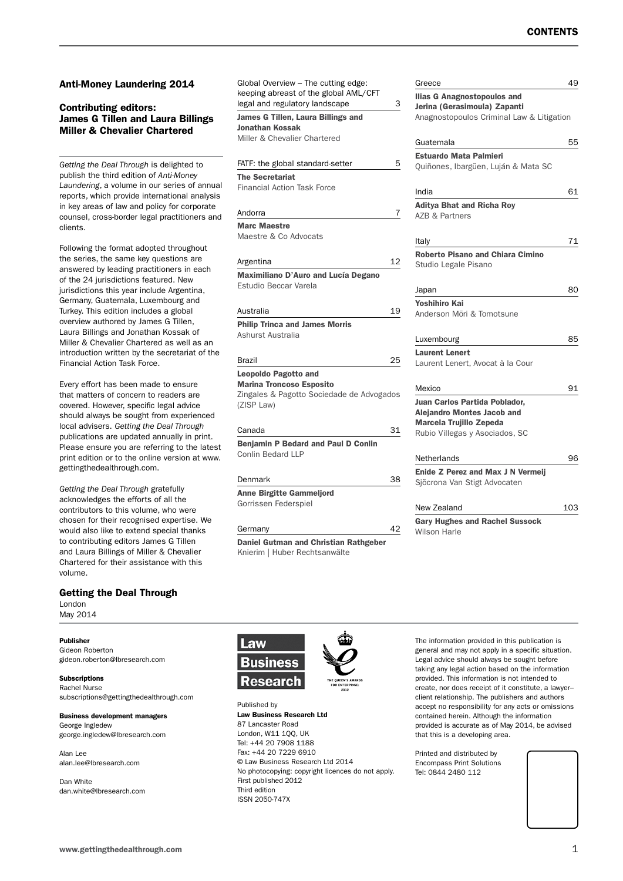#### Contributing editors: James G Tillen and Laura Billings Miller & Chevalier Chartered *Getting the Deal Through* is delighted to publish the third edition of *Anti-Money Laundering*, a volume in our series of annual reports, which provide international analysis in key areas of law and policy for corporate counsel, cross-border legal practitioners and clients. Following the format adopted throughout the series, the same key questions are answered by leading practitioners in each of the 24 jurisdictions featured. New jurisdictions this year include Argentina, Germany, Guatemala, Luxembourg and Turkey. This edition includes a global overview authored by James G Tillen, Laura Billings and Jonathan Kossak of Miller & Chevalier Chartered as well as an introduction written by the secretariat of the Financial Action Task Force. Every effort has been made to ensure **Andorra** Argentina

that matters of concern to readers are covered. However, specific legal advice should always be sought from experienced local advisers. *Getting the Deal Through* publications are updated annually in print. Please ensure you are referring to the latest print edition or to the online version at www. gettingthedealthrough.com.

Anti-Money Laundering 2014

*Getting the Deal Through* gratefully acknowledges the efforts of all the contributors to this volume, who were chosen for their recognised expertise. We would also like to extend special thanks to contributing editors James G Tillen and Laura Billings of Miller & Chevalier Chartered for their assistance with this volume.

#### Getting the Deal Through

London May 2014

#### Publisher

Gideon Roberton gideon.roberton@lbresearch.com

Subscriptions Rachel Nurse subscriptions@gettingthedealthrough.com

#### Business development managers George Ingledew george.ingledew@lbresearch.com

Alan Lee alan.lee@lbresearch.com

Dan White dan.white@lbresearch.com Global Overview – The cutting edge: keeping abreast of the global AML/CFT legal and regulatory landscape

James G Tillen, Laura Billings and Jonathan Kossak Miller & Chevalier Chartered

### FATF: the global standard-setter The Secretariat Financial Action Task Force Marc Maestre Maestre & Co Advocats Maximiliano D'Auro and Lucía Degano Estudio Beccar Varela Australia 1999 - 1999 - 1999 - 1999 - 1999 - 1999 - 1999 - 1999 - 1999 - 1999 - 1999 - 1999 - 1999 - 1999 - 19 Philip Trinca and James Morris Ashurst Australia Brazil 25 Leopoldo Pagotto and Marina Troncoso Esposito Zingales & Pagotto Sociedade de Advogado (ZISP Law) Canada 31 Benjamin P Bedard and Paul D Conlin Conlin Bedard LLP **Denmark** Anne Birgitte Gammeljord Gorrissen Federspiel Germany

Daniel Gutman and Christian Rathgeber Knierim | Huber Rechtsanwälte

| Greece                                    | 49  |
|-------------------------------------------|-----|
| Ilias G Anagnostopoulos and               |     |
| Jerina (Gerasimoula) Zapanti              |     |
| Anagnostopoulos Criminal Law & Litigation |     |
| Guatemala                                 | 55  |
| <b>Estuardo Mata Palmieri</b>             |     |
| Quiñones, Ibargüen, Luján & Mata SC       |     |
| India                                     | 61  |
| <b>Aditya Bhat and Richa Roy</b>          |     |
| AZB & Partners                            |     |
| Italy                                     | 71  |
| <b>Roberto Pisano and Chiara Cimino</b>   |     |
| Studio Legale Pisano                      |     |
| Japan                                     | 80  |
| <b>Yoshihiro Kai</b>                      |     |
| Anderson Möri & Tomotsune                 |     |
| Luxembourg                                | 85  |
| <b>Laurent Lenert</b>                     |     |
| Laurent Lenert, Avocat à la Cour          |     |
| Mexico                                    | 91  |
| Juan Carlos Partida Poblador,             |     |
| <b>Alejandro Montes Jacob and</b>         |     |
| Marcela Trujillo Zepeda                   |     |
| Rubio Villegas y Asociados, SC            |     |
| Netherlands                               | 96  |
| <b>Enide Z Perez and Max J N Vermeij</b>  |     |
| Sjöcrona Van Stigt Advocaten              |     |
| New Zealand                               | 103 |
| <b>Gary Hughes and Rachel Sussock</b>     |     |
| Wilson Harle                              |     |



Published by Law Business Research Ltd 87 Lancaster Road London, W11 1QQ, UK Tel: +44 20 7908 1188 Fax: +44 20 7229 6910 © Law Business Research Ltd 2014 No photocopying: copyright licences do not apply. First published 2012 Third edition ISSN 2050-747X

The information provided in this publication is general and may not apply in a specific situation. Legal advice should always be sought before taking any legal action based on the information provided. This information is not intended to create, nor does receipt of it constitute, a lawyer– client relationship. The publishers and authors accept no responsibility for any acts or omissions contained herein. Although the information provided is accurate as of May 2014, be advised that this is a developing area.

Printed and distributed by Encompass Print Solutions Tel: 0844 2480 112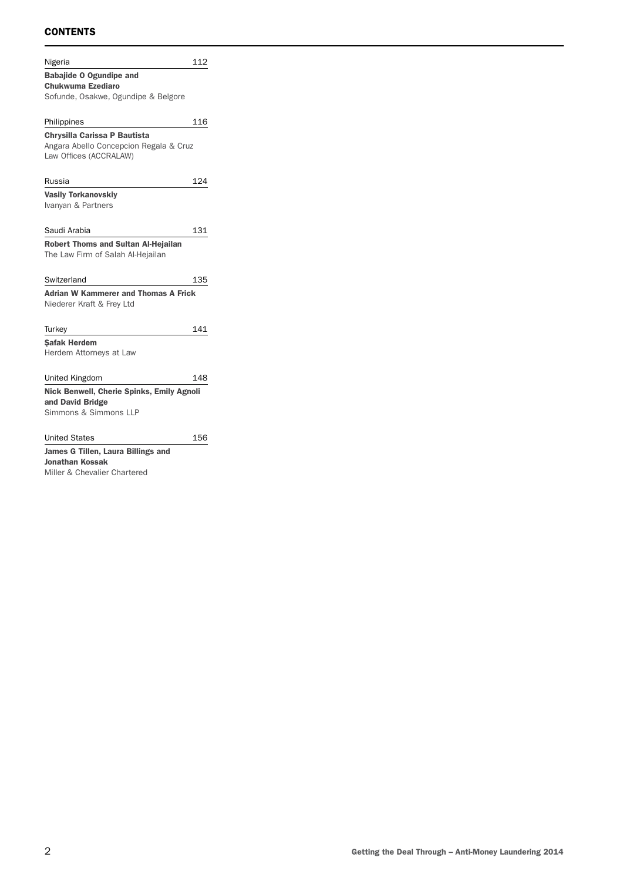#### **CONTENTS**

| Nigeria                                                              | 112 |
|----------------------------------------------------------------------|-----|
| <b>Babajide O Ogundipe and</b>                                       |     |
| <b>Chukwuma Ezediaro</b>                                             |     |
| Sofunde, Osakwe, Ogundipe & Belgore                                  |     |
|                                                                      |     |
| Philippines                                                          | 116 |
| Chrysilla Carissa P Bautista                                         |     |
| Angara Abello Concepcion Regala & Cruz                               |     |
| Law Offices (ACCRALAW)                                               |     |
|                                                                      |     |
| Russia                                                               | 124 |
| <b>Vasily Torkanovskiy</b>                                           |     |
| Ivanyan & Partners                                                   |     |
|                                                                      |     |
| Saudi Arabia                                                         | 131 |
| <b>Robert Thoms and Sultan Al-Hejailan</b>                           |     |
| The Law Firm of Salah Al-Hejailan                                    |     |
|                                                                      |     |
| Switzerland                                                          | 135 |
| <b>Adrian W Kammerer and Thomas A Frick</b>                          |     |
| Niederer Kraft & Frey Ltd                                            |     |
|                                                                      |     |
| Turkey                                                               | 141 |
| <b>Safak Herdem</b>                                                  |     |
| Herdem Attorneys at Law                                              |     |
|                                                                      |     |
| United Kingdom                                                       | 148 |
|                                                                      |     |
| <b>Nick Benwell, Cherie Spinks, Emily Agnoli</b><br>and David Bridge |     |
| Simmons & Simmons LLP                                                |     |
|                                                                      |     |
| <b>United States</b>                                                 | 156 |
| James G Tillen, Laura Billings and                                   |     |
| Jonathan Kossak                                                      |     |
|                                                                      |     |

Miller & Chevalier Chartered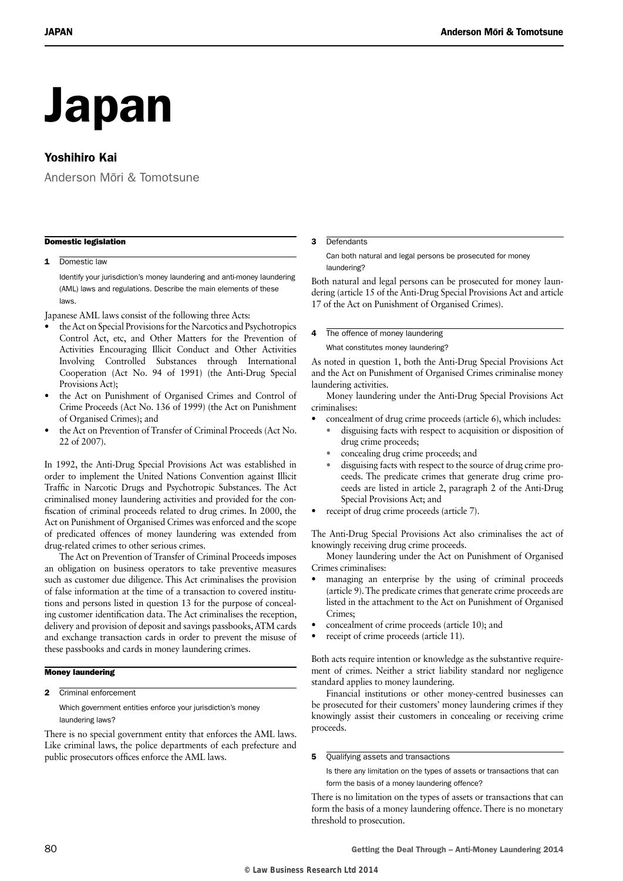# Japan

#### Yoshihiro Kai

Anderson Mōri & Tomotsune

#### Domestic legislation

#### 1 Domestic law

Identify your jurisdiction's money laundering and anti-money laundering (AML) laws and regulations. Describe the main elements of these laws.

Japanese AML laws consist of the following three Acts:

- the Act on Special Provisions for the Narcotics and Psychotropics Control Act, etc, and Other Matters for the Prevention of Activities Encouraging Illicit Conduct and Other Activities Involving Controlled Substances through International Cooperation (Act No. 94 of 1991) (the Anti-Drug Special Provisions Act);
- the Act on Punishment of Organised Crimes and Control of Crime Proceeds (Act No. 136 of 1999) (the Act on Punishment of Organised Crimes); and
- the Act on Prevention of Transfer of Criminal Proceeds (Act No. 22 of 2007).

In 1992, the Anti-Drug Special Provisions Act was established in order to implement the United Nations Convention against Illicit Traffic in Narcotic Drugs and Psychotropic Substances. The Act criminalised money laundering activities and provided for the confiscation of criminal proceeds related to drug crimes. In 2000, the Act on Punishment of Organised Crimes was enforced and the scope of predicated offences of money laundering was extended from drug-related crimes to other serious crimes.

The Act on Prevention of Transfer of Criminal Proceeds imposes an obligation on business operators to take preventive measures such as customer due diligence. This Act criminalises the provision of false information at the time of a transaction to covered institutions and persons listed in question 13 for the purpose of concealing customer identification data. The Act criminalises the reception, delivery and provision of deposit and savings passbooks, ATM cards and exchange transaction cards in order to prevent the misuse of these passbooks and cards in money laundering crimes.

#### Money laundering

2 Criminal enforcement

Which government entities enforce your jurisdiction's money laundering laws?

There is no special government entity that enforces the AML laws. Like criminal laws, the police departments of each prefecture and public prosecutors offices enforce the AML laws.

#### 3 Defendants

Can both natural and legal persons be prosecuted for money laundering?

Both natural and legal persons can be prosecuted for money laundering (article 15 of the Anti-Drug Special Provisions Act and article 17 of the Act on Punishment of Organised Crimes).

4 The offence of money laundering

What constitutes money laundering?

As noted in question 1, both the Anti-Drug Special Provisions Act and the Act on Punishment of Organised Crimes criminalise money laundering activities.

Money laundering under the Anti-Drug Special Provisions Act criminalises:

- concealment of drug crime proceeds (article 6), which includes:
	- disguising facts with respect to acquisition or disposition of drug crime proceeds;
	- concealing drug crime proceeds; and
	- disguising facts with respect to the source of drug crime proceeds. The predicate crimes that generate drug crime proceeds are listed in article 2, paragraph 2 of the Anti-Drug Special Provisions Act; and
- receipt of drug crime proceeds (article 7).

The Anti-Drug Special Provisions Act also criminalises the act of knowingly receiving drug crime proceeds.

Money laundering under the Act on Punishment of Organised Crimes criminalises:

- managing an enterprise by the using of criminal proceeds (article 9). The predicate crimes that generate crime proceeds are listed in the attachment to the Act on Punishment of Organised Crimes;
- concealment of crime proceeds (article 10); and
- receipt of crime proceeds (article 11).

Both acts require intention or knowledge as the substantive requirement of crimes. Neither a strict liability standard nor negligence standard applies to money laundering.

Financial institutions or other money-centred businesses can be prosecuted for their customers' money laundering crimes if they knowingly assist their customers in concealing or receiving crime proceeds.

#### 5 Qualifying assets and transactions

Is there any limitation on the types of assets or transactions that can form the basis of a money laundering offence?

There is no limitation on the types of assets or transactions that can form the basis of a money laundering offence. There is no monetary threshold to prosecution.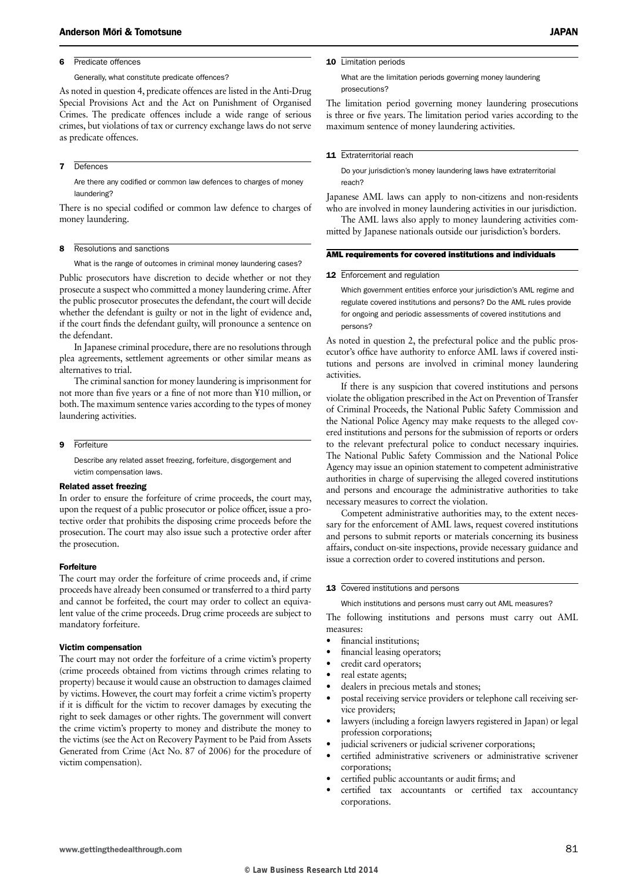#### 6 Predicate offences

#### Generally, what constitute predicate offences?

As noted in question 4, predicate offences are listed in the Anti-Drug Special Provisions Act and the Act on Punishment of Organised Crimes. The predicate offences include a wide range of serious crimes, but violations of tax or currency exchange laws do not serve as predicate offences.

#### 7 Defences

Are there any codified or common law defences to charges of money laundering?

There is no special codified or common law defence to charges of money laundering.

#### 8 Resolutions and sanctions

What is the range of outcomes in criminal money laundering cases?

Public prosecutors have discretion to decide whether or not they prosecute a suspect who committed a money laundering crime. After the public prosecutor prosecutes the defendant, the court will decide whether the defendant is guilty or not in the light of evidence and, if the court finds the defendant guilty, will pronounce a sentence on the defendant.

In Japanese criminal procedure, there are no resolutions through plea agreements, settlement agreements or other similar means as alternatives to trial.

The criminal sanction for money laundering is imprisonment for not more than five years or a fine of not more than ¥10 million, or both. The maximum sentence varies according to the types of money laundering activities.

#### 9 Forfeiture

Describe any related asset freezing, forfeiture, disgorgement and victim compensation laws.

#### Related asset freezing

In order to ensure the forfeiture of crime proceeds, the court may, upon the request of a public prosecutor or police officer, issue a protective order that prohibits the disposing crime proceeds before the prosecution. The court may also issue such a protective order after the prosecution.

#### Forfeiture

The court may order the forfeiture of crime proceeds and, if crime proceeds have already been consumed or transferred to a third party and cannot be forfeited, the court may order to collect an equivalent value of the crime proceeds. Drug crime proceeds are subject to mandatory forfeiture.

#### Victim compensation

The court may not order the forfeiture of a crime victim's property (crime proceeds obtained from victims through crimes relating to property) because it would cause an obstruction to damages claimed by victims. However, the court may forfeit a crime victim's property if it is difficult for the victim to recover damages by executing the right to seek damages or other rights. The government will convert the crime victim's property to money and distribute the money to the victims (see the Act on Recovery Payment to be Paid from Assets Generated from Crime (Act No. 87 of 2006) for the procedure of victim compensation).

#### 10 Limitation periods

What are the limitation periods governing money laundering prosecutions?

The limitation period governing money laundering prosecutions is three or five years. The limitation period varies according to the maximum sentence of money laundering activities.

#### 11 Extraterritorial reach

Do your jurisdiction's money laundering laws have extraterritorial reach?

Japanese AML laws can apply to non-citizens and non-residents who are involved in money laundering activities in our jurisdiction.

The AML laws also apply to money laundering activities committed by Japanese nationals outside our jurisdiction's borders.

#### AML requirements for covered institutions and individuals

#### 12 Enforcement and regulation

Which government entities enforce your jurisdiction's AML regime and regulate covered institutions and persons? Do the AML rules provide for ongoing and periodic assessments of covered institutions and persons?

As noted in question 2, the prefectural police and the public prosecutor's office have authority to enforce AML laws if covered institutions and persons are involved in criminal money laundering activities.

If there is any suspicion that covered institutions and persons violate the obligation prescribed in the Act on Prevention of Transfer of Criminal Proceeds, the National Public Safety Commission and the National Police Agency may make requests to the alleged covered institutions and persons for the submission of reports or orders to the relevant prefectural police to conduct necessary inquiries. The National Public Safety Commission and the National Police Agency may issue an opinion statement to competent administrative authorities in charge of supervising the alleged covered institutions and persons and encourage the administrative authorities to take necessary measures to correct the violation.

Competent administrative authorities may, to the extent necessary for the enforcement of AML laws, request covered institutions and persons to submit reports or materials concerning its business affairs, conduct on-site inspections, provide necessary guidance and issue a correction order to covered institutions and person.

#### 13 Covered institutions and persons

Which institutions and persons must carry out AML measures?

The following institutions and persons must carry out AML measures:

- financial institutions:
- financial leasing operators;
- credit card operators;
- real estate agents;
- dealers in precious metals and stones;
- postal receiving service providers or telephone call receiving service providers;
- lawyers (including a foreign lawyers registered in Japan) or legal profession corporations;
- judicial scriveners or judicial scrivener corporations;
- certified administrative scriveners or administrative scrivener corporations;
- certified public accountants or audit firms; and
- certified tax accountants or certified tax accountancy corporations.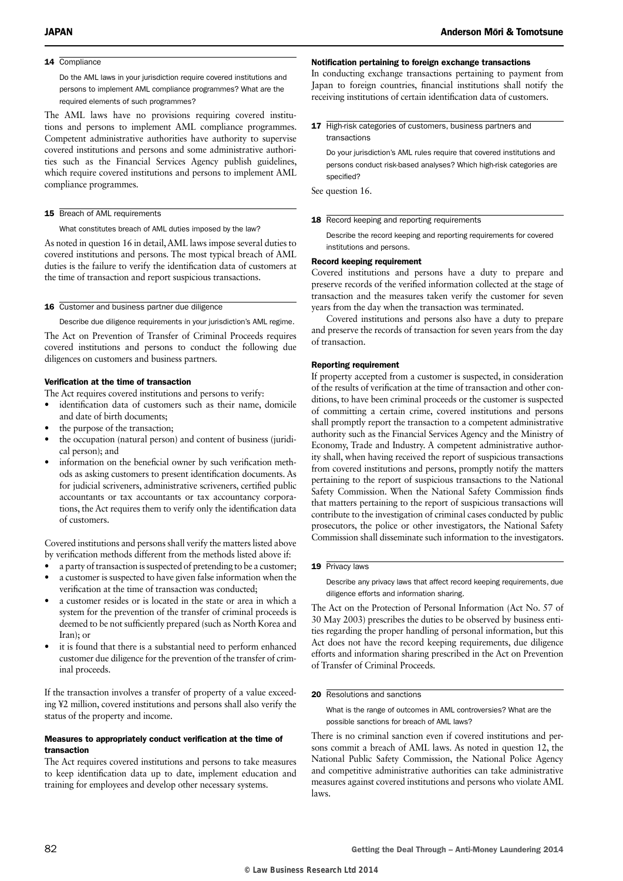#### 14 Compliance

Do the AML laws in your jurisdiction require covered institutions and persons to implement AML compliance programmes? What are the required elements of such programmes?

The AML laws have no provisions requiring covered institutions and persons to implement AML compliance programmes. Competent administrative authorities have authority to supervise covered institutions and persons and some administrative authorities such as the Financial Services Agency publish guidelines, which require covered institutions and persons to implement AML compliance programmes.

#### 15 Breach of AML requirements

What constitutes breach of AML duties imposed by the law?

As noted in question 16 in detail, AML laws impose several duties to covered institutions and persons. The most typical breach of AML duties is the failure to verify the identification data of customers at the time of transaction and report suspicious transactions.

#### 16 Customer and business partner due diligence

Describe due diligence requirements in your jurisdiction's AML regime.

The Act on Prevention of Transfer of Criminal Proceeds requires covered institutions and persons to conduct the following due diligences on customers and business partners.

#### Verification at the time of transaction

The Act requires covered institutions and persons to verify:

- identification data of customers such as their name, domicile and date of birth documents;
- the purpose of the transaction;
- the occupation (natural person) and content of business (juridical person); and
- information on the beneficial owner by such verification methods as asking customers to present identification documents. As for judicial scriveners, administrative scriveners, certified public accountants or tax accountants or tax accountancy corporations, the Act requires them to verify only the identification data of customers.

Covered institutions and persons shall verify the matters listed above by verification methods different from the methods listed above if:

- a party of transaction is suspected of pretending to be a customer; • a customer is suspected to have given false information when the
- verification at the time of transaction was conducted;
- a customer resides or is located in the state or area in which a system for the prevention of the transfer of criminal proceeds is deemed to be not sufficiently prepared (such as North Korea and Iran); or
- it is found that there is a substantial need to perform enhanced customer due diligence for the prevention of the transfer of criminal proceeds.

If the transaction involves a transfer of property of a value exceeding ¥2 million, covered institutions and persons shall also verify the status of the property and income.

#### Measures to appropriately conduct verification at the time of transaction

The Act requires covered institutions and persons to take measures to keep identification data up to date, implement education and training for employees and develop other necessary systems.

#### Notification pertaining to foreign exchange transactions

In conducting exchange transactions pertaining to payment from Japan to foreign countries, financial institutions shall notify the receiving institutions of certain identification data of customers.

17 High-risk categories of customers, business partners and transactions

Do your jurisdiction's AML rules require that covered institutions and persons conduct risk-based analyses? Which high-risk categories are specified?

See question 16.

#### 18 Record keeping and reporting requirements

Describe the record keeping and reporting requirements for covered institutions and persons.

#### Record keeping requirement

Covered institutions and persons have a duty to prepare and preserve records of the verified information collected at the stage of transaction and the measures taken verify the customer for seven years from the day when the transaction was terminated.

Covered institutions and persons also have a duty to prepare and preserve the records of transaction for seven years from the day of transaction.

#### Reporting requirement

If property accepted from a customer is suspected, in consideration of the results of verification at the time of transaction and other conditions, to have been criminal proceeds or the customer is suspected of committing a certain crime, covered institutions and persons shall promptly report the transaction to a competent administrative authority such as the Financial Services Agency and the Ministry of Economy, Trade and Industry. A competent administrative authority shall, when having received the report of suspicious transactions from covered institutions and persons, promptly notify the matters pertaining to the report of suspicious transactions to the National Safety Commission. When the National Safety Commission finds that matters pertaining to the report of suspicious transactions will contribute to the investigation of criminal cases conducted by public prosecutors, the police or other investigators, the National Safety Commission shall disseminate such information to the investigators.

#### 19 Privacy laws

Describe any privacy laws that affect record keeping requirements, due diligence efforts and information sharing.

The Act on the Protection of Personal Information (Act No. 57 of 30 May 2003) prescribes the duties to be observed by business entities regarding the proper handling of personal information, but this Act does not have the record keeping requirements, due diligence efforts and information sharing prescribed in the Act on Prevention of Transfer of Criminal Proceeds.

#### 20 Resolutions and sanctions

What is the range of outcomes in AML controversies? What are the possible sanctions for breach of AML laws?

There is no criminal sanction even if covered institutions and persons commit a breach of AML laws. As noted in question 12, the National Public Safety Commission, the National Police Agency and competitive administrative authorities can take administrative measures against covered institutions and persons who violate AML laws.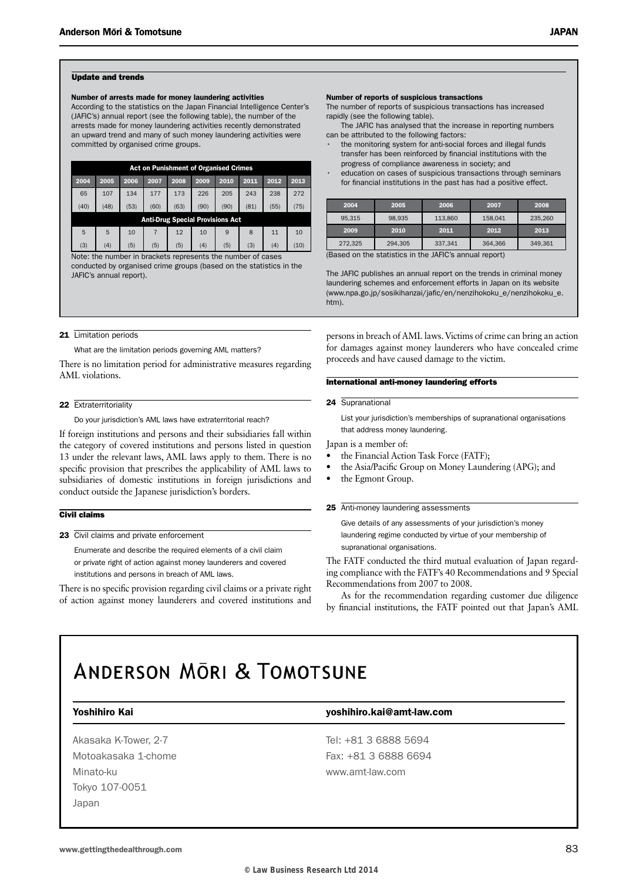#### Update and trends

#### Number of arrests made for money laundering activities

According to the statistics on the Japan Financial Intelligence Center's (JAFIC's) annual report (see the following table), the number of the arrests made for money laundering activities recently demonstrated an upward trend and many of such money laundering activities were committed by organised crime groups.

|                                         | <b>Act on Punishment of Organised Crimes</b> |      |      |      |      |      |      |      |      |  |
|-----------------------------------------|----------------------------------------------|------|------|------|------|------|------|------|------|--|
| 2004                                    | 2005                                         | 2006 | 2007 | 2008 | 2009 | 2010 | 2011 | 2012 | 2013 |  |
| 65                                      | 107                                          | 134  | 177  | 173  | 226  | 205  | 243  | 238  | 272  |  |
| (40)                                    | (48)                                         | (53) | (60) | (63) | (90) | (90) | (81) | (55) | (75) |  |
| <b>Anti-Drug Special Provisions Act</b> |                                              |      |      |      |      |      |      |      |      |  |
| 5                                       | 5                                            | 10   |      | 12   | 10   | 9    | 8    | 11   | 10   |  |
| (3)                                     | (4)                                          | (5)  | (5)  | (5)  | (4)  | (5)  | (3)  | (4)  | (10) |  |

Note: the number in brackets represents the number of cases conducted by organised crime groups (based on the statistics in the JAFIC's annual report).

#### 21 Limitation periods

What are the limitation periods governing AML matters?

There is no limitation period for administrative measures regarding AML violations.

#### 22 Extraterritoriality

Do your jurisdiction's AML laws have extraterritorial reach?

If foreign institutions and persons and their subsidiaries fall within the category of covered institutions and persons listed in question 13 under the relevant laws, AML laws apply to them. There is no specific provision that prescribes the applicability of AML laws to subsidiaries of domestic institutions in foreign jurisdictions and conduct outside the Japanese jurisdiction's borders.

#### Civil claims

23 Civil claims and private enforcement

Enumerate and describe the required elements of a civil claim or private right of action against money launderers and covered institutions and persons in breach of AML laws.

There is no specific provision regarding civil claims or a private right of action against money launderers and covered institutions and

#### Number of reports of suspicious transactions

The number of reports of suspicious transactions has increased rapidly (see the following table).

The JAFIC has analysed that the increase in reporting numbers can be attributed to the following factors:

- the monitoring system for anti-social forces and illegal funds transfer has been reinforced by financial institutions with the progress of compliance awareness in society; and
- education on cases of suspicious transactions through seminars for financial institutions in the past has had a positive effect.

| 2004                                                        | 2005    | 2006    |         | 2008    |  |  |  |
|-------------------------------------------------------------|---------|---------|---------|---------|--|--|--|
| 95.315                                                      | 98.935  | 113.860 | 158.041 | 235.260 |  |  |  |
| 2009                                                        | 2010    | 2011    | 2012    | 2013    |  |  |  |
| 272.325                                                     | 294.305 | 337,341 | 364.366 | 349.361 |  |  |  |
| (Raced on the etatietics in the $\Delta E$ ) annual report) |         |         |         |         |  |  |  |

(Based on the statistics in the JAFIC's annual report)

The JAFIC publishes an annual report on the trends in criminal money laundering schemes and enforcement efforts in Japan on its website (www.npa.go.jp/sosikihanzai/jafic/en/nenzihokoku\_e/nenzihokoku\_e. htm).

persons in breach of AML laws. Victims of crime can bring an action for damages against money launderers who have concealed crime proceeds and have caused damage to the victim.

#### International anti-money laundering efforts

#### 24 Supranational

List your jurisdiction's memberships of supranational organisations that address money laundering.

Japan is a member of:

- the Financial Action Task Force (FATF);
- the Asia/Pacific Group on Money Laundering (APG); and
- the Egmont Group.

#### 25 Anti-money laundering assessments

Give details of any assessments of your jurisdiction's money laundering regime conducted by virtue of your membership of supranational organisations.

The FATF conducted the third mutual evaluation of Japan regarding compliance with the FATF's 40 Recommendations and 9 Special Recommendations from 2007 to 2008.

As for the recommendation regarding customer due diligence by financial institutions, the FATF pointed out that Japan's AML

## **ANDERSON MORL & TOMOTSUNE**

#### Yoshihiro Kai yoshihiro.kai@amt-law.com

Minato-ku www.amt-law.com Tokyo 107-0051 Japan

Akasaka K-Tower, 2-7 Tel: +81 3 6888 5694 Motoakasaka 1-chome Fax: +81 3 6888 6694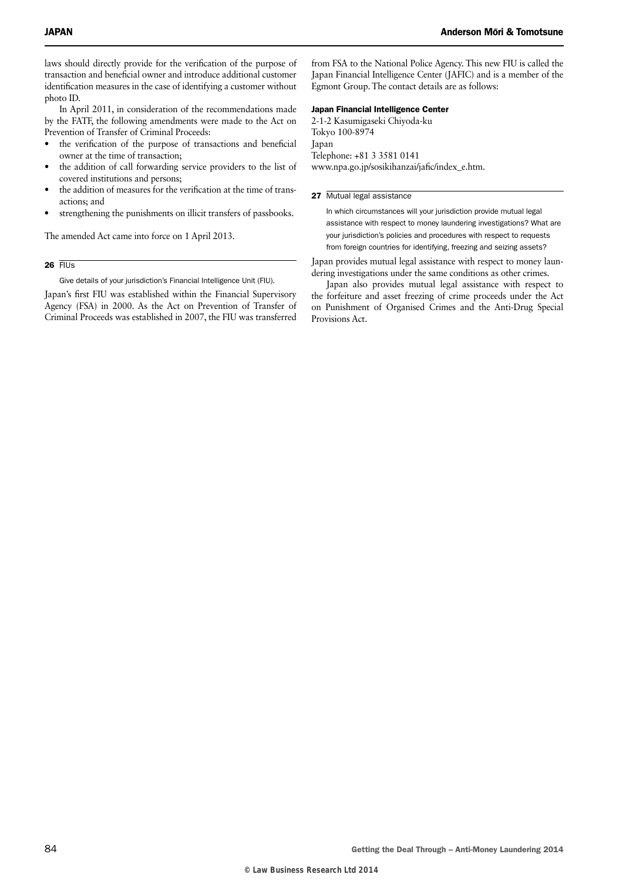laws should directly provide for the verification of the purpose of transaction and beneficial owner and introduce additional customer identification measures in the case of identifying a customer without photo ID.

In April 2011, in consideration of the recommendations made by the FATF, the following amendments were made to the Act on Prevention of Transfer of Criminal Proceeds:

- the verification of the purpose of transactions and beneficial owner at the time of transaction;
- the addition of call forwarding service providers to the list of covered institutions and persons;
- the addition of measures for the verification at the time of transactions; and
- strengthening the punishments on illicit transfers of passbooks.

The amended Act came into force on 1 April 2013.

 $26$  FIUs

Give details of your jurisdiction's Financial Intelligence Unit (FIU).

Japan's first FIU was established within the Financial Supervisory Agency (FSA) in 2000. As the Act on Prevention of Transfer of Criminal Proceeds was established in 2007, the FIU was transferred

from FSA to the National Police Agency. This new FIU is called the Japan Financial Intelligence Center (JAFIC) and is a member of the Egmont Group. The contact details are as follows:

#### Japan Financial Intelligence Center

2-1-2 Kasumigaseki Chiyoda-ku Tokyo 100-8974 Japan

Telephone: +81 3 3581 0141 www.npa.go.jp/sosikihanzai/jafic/index\_e.htm.

#### 27 Mutual legal assistance

In which circumstances will your jurisdiction provide mutual legal assistance with respect to money laundering investigations? What are your jurisdiction's policies and procedures with respect to requests from foreign countries for identifying, freezing and seizing assets?

Japan provides mutual legal assistance with respect to money laundering investigations under the same conditions as other crimes.

Japan also provides mutual legal assistance with respect to the forfeiture and asset freezing of crime proceeds under the Act on Punishment of Organised Crimes and the Anti-Drug Special Provisions Act.